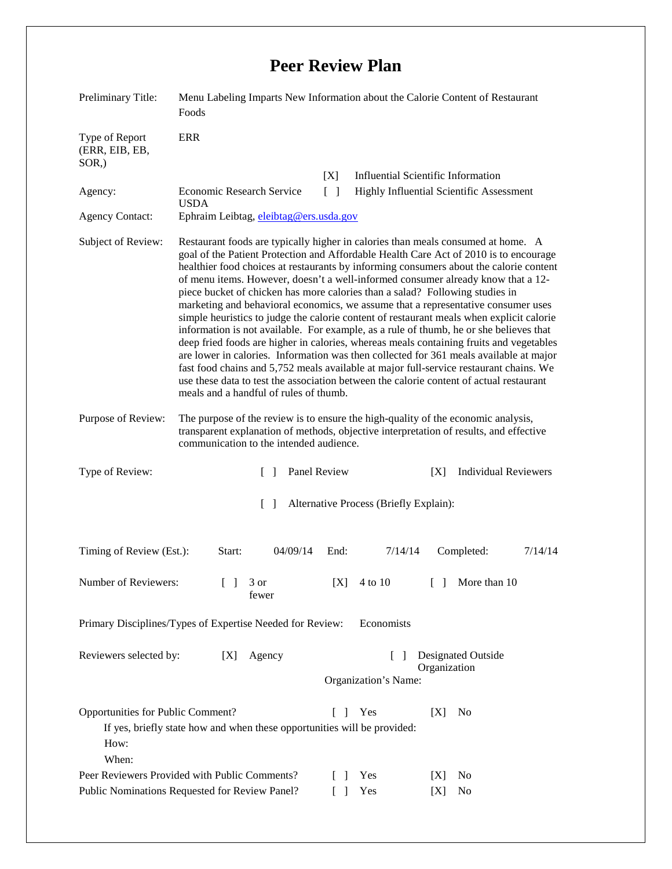## **Peer Review Plan**

| Preliminary Title:                                                                                                                                           | Menu Labeling Imparts New Information about the Calorie Content of Restaurant<br>Foods                                                                                                                                                                                                                                                                                                                                                                                                                                                                                                                                                                                                                                                                                                                                                                                                                                                                                                                                                                                                                                                 |                 |                                                                 |
|--------------------------------------------------------------------------------------------------------------------------------------------------------------|----------------------------------------------------------------------------------------------------------------------------------------------------------------------------------------------------------------------------------------------------------------------------------------------------------------------------------------------------------------------------------------------------------------------------------------------------------------------------------------------------------------------------------------------------------------------------------------------------------------------------------------------------------------------------------------------------------------------------------------------------------------------------------------------------------------------------------------------------------------------------------------------------------------------------------------------------------------------------------------------------------------------------------------------------------------------------------------------------------------------------------------|-----------------|-----------------------------------------------------------------|
| Type of Report<br>(ERR, EIB, EB,<br>SOR <sub>.</sub> )                                                                                                       | ERR                                                                                                                                                                                                                                                                                                                                                                                                                                                                                                                                                                                                                                                                                                                                                                                                                                                                                                                                                                                                                                                                                                                                    |                 |                                                                 |
|                                                                                                                                                              |                                                                                                                                                                                                                                                                                                                                                                                                                                                                                                                                                                                                                                                                                                                                                                                                                                                                                                                                                                                                                                                                                                                                        | [X]             | <b>Influential Scientific Information</b>                       |
| Agency:                                                                                                                                                      | <b>Economic Research Service</b><br><b>USDA</b>                                                                                                                                                                                                                                                                                                                                                                                                                                                                                                                                                                                                                                                                                                                                                                                                                                                                                                                                                                                                                                                                                        | $\lceil \rceil$ | <b>Highly Influential Scientific Assessment</b>                 |
| <b>Agency Contact:</b>                                                                                                                                       | Ephraim Leibtag, eleibtag@ers.usda.gov                                                                                                                                                                                                                                                                                                                                                                                                                                                                                                                                                                                                                                                                                                                                                                                                                                                                                                                                                                                                                                                                                                 |                 |                                                                 |
| Subject of Review:                                                                                                                                           | Restaurant foods are typically higher in calories than meals consumed at home. A<br>goal of the Patient Protection and Affordable Health Care Act of 2010 is to encourage<br>healthier food choices at restaurants by informing consumers about the calorie content<br>of menu items. However, doesn't a well-informed consumer already know that a 12-<br>piece bucket of chicken has more calories than a salad? Following studies in<br>marketing and behavioral economics, we assume that a representative consumer uses<br>simple heuristics to judge the calorie content of restaurant meals when explicit calorie<br>information is not available. For example, as a rule of thumb, he or she believes that<br>deep fried foods are higher in calories, whereas meals containing fruits and vegetables<br>are lower in calories. Information was then collected for 361 meals available at major<br>fast food chains and 5,752 meals available at major full-service restaurant chains. We<br>use these data to test the association between the calorie content of actual restaurant<br>meals and a handful of rules of thumb. |                 |                                                                 |
| Purpose of Review:                                                                                                                                           | The purpose of the review is to ensure the high-quality of the economic analysis,<br>transparent explanation of methods, objective interpretation of results, and effective<br>communication to the intended audience.                                                                                                                                                                                                                                                                                                                                                                                                                                                                                                                                                                                                                                                                                                                                                                                                                                                                                                                 |                 |                                                                 |
| Type of Review:                                                                                                                                              | $\Box$                                                                                                                                                                                                                                                                                                                                                                                                                                                                                                                                                                                                                                                                                                                                                                                                                                                                                                                                                                                                                                                                                                                                 | Panel Review    | <b>Individual Reviewers</b><br>[X]                              |
| $\lceil \rceil$<br>Alternative Process (Briefly Explain):                                                                                                    |                                                                                                                                                                                                                                                                                                                                                                                                                                                                                                                                                                                                                                                                                                                                                                                                                                                                                                                                                                                                                                                                                                                                        |                 |                                                                 |
| Timing of Review (Est.):                                                                                                                                     | Start:<br>04/09/14                                                                                                                                                                                                                                                                                                                                                                                                                                                                                                                                                                                                                                                                                                                                                                                                                                                                                                                                                                                                                                                                                                                     | End:            | 7/14/14<br>Completed:<br>7/14/14                                |
| Number of Reviewers:                                                                                                                                         | 3 or<br>fewer                                                                                                                                                                                                                                                                                                                                                                                                                                                                                                                                                                                                                                                                                                                                                                                                                                                                                                                                                                                                                                                                                                                          | [X]             | $\begin{bmatrix} \end{bmatrix}$<br>4 to 10<br>More than 10      |
| Primary Disciplines/Types of Expertise Needed for Review:<br>Economists                                                                                      |                                                                                                                                                                                                                                                                                                                                                                                                                                                                                                                                                                                                                                                                                                                                                                                                                                                                                                                                                                                                                                                                                                                                        |                 |                                                                 |
| Reviewers selected by:                                                                                                                                       | Agency<br>[X]                                                                                                                                                                                                                                                                                                                                                                                                                                                                                                                                                                                                                                                                                                                                                                                                                                                                                                                                                                                                                                                                                                                          |                 | Designated Outside<br>L<br>Organization<br>Organization's Name: |
| Opportunities for Public Comment?<br>Yes<br>No<br>$\Box$<br>[X]<br>If yes, briefly state how and when these opportunities will be provided:<br>How:<br>When: |                                                                                                                                                                                                                                                                                                                                                                                                                                                                                                                                                                                                                                                                                                                                                                                                                                                                                                                                                                                                                                                                                                                                        |                 |                                                                 |
| Peer Reviewers Provided with Public Comments?<br>Yes                                                                                                         |                                                                                                                                                                                                                                                                                                                                                                                                                                                                                                                                                                                                                                                                                                                                                                                                                                                                                                                                                                                                                                                                                                                                        |                 | [X]<br>N <sub>0</sub>                                           |
| Public Nominations Requested for Review Panel?<br>Yes<br>$\Box$<br>[X]<br>N <sub>0</sub>                                                                     |                                                                                                                                                                                                                                                                                                                                                                                                                                                                                                                                                                                                                                                                                                                                                                                                                                                                                                                                                                                                                                                                                                                                        |                 |                                                                 |